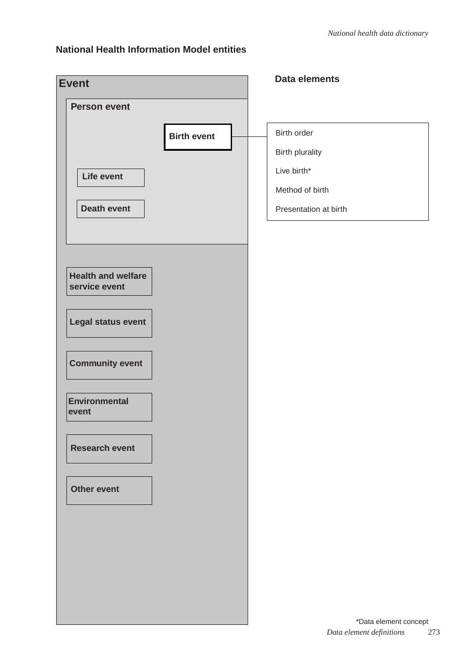### **National Health Information Model entities**

| <b>Event</b>              | Data elements         |
|---------------------------|-----------------------|
| <b>Person event</b>       |                       |
| <b>Birth event</b>        | Birth order           |
|                           | Birth plurality       |
| <b>Life event</b>         | Live birth*           |
|                           | Method of birth       |
| <b>Death event</b>        | Presentation at birth |
|                           |                       |
|                           |                       |
| <b>Health and welfare</b> |                       |
| service event             |                       |
| Legal status event        |                       |
|                           |                       |
| <b>Community event</b>    |                       |
|                           |                       |
| <b>Environmental</b>      |                       |
| event                     |                       |
| <b>Research event</b>     |                       |
|                           |                       |
| <b>Other event</b>        |                       |
|                           |                       |
|                           |                       |
|                           |                       |
|                           |                       |
|                           |                       |
|                           |                       |
|                           | *Data element concept |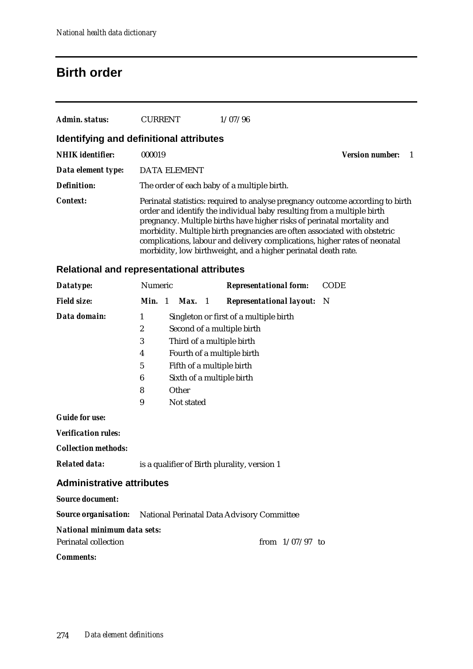## **Birth order**

| Admin. status:                          | <b>CURRENT</b> | 1/07/96                                                                                                                                                                                                             |                                                                                                                                                                                                                                           |
|-----------------------------------------|----------------|---------------------------------------------------------------------------------------------------------------------------------------------------------------------------------------------------------------------|-------------------------------------------------------------------------------------------------------------------------------------------------------------------------------------------------------------------------------------------|
| Identifying and definitional attributes |                |                                                                                                                                                                                                                     |                                                                                                                                                                                                                                           |
| <b>NHIK</b> identifier:                 | 000019         |                                                                                                                                                                                                                     | <b>Version number:</b>                                                                                                                                                                                                                    |
| Data element type:                      | DATA ELEMENT   |                                                                                                                                                                                                                     |                                                                                                                                                                                                                                           |
| <b>Definition:</b>                      |                | The order of each baby of a multiple birth.                                                                                                                                                                         |                                                                                                                                                                                                                                           |
| <b>Context:</b>                         |                | order and identify the individual baby resulting from a multiple birth<br>pregnancy. Multiple births have higher risks of perinatal mortality and<br>morbidity, low birthweight, and a higher perinatal death rate. | Perinatal statistics: required to analyse pregnancy outcome according to birth<br>morbidity. Multiple birth pregnancies are often associated with obstetric<br>complications, labour and delivery complications, higher rates of neonatal |

### **Relational and representational attributes**

| Datatype:                                                              | Numeric                                      |                            |            |  | <b>Representational form:</b>          |                   | <b>CODE</b> |
|------------------------------------------------------------------------|----------------------------------------------|----------------------------|------------|--|----------------------------------------|-------------------|-------------|
| <b>Field size:</b>                                                     | Min. 1                                       |                            | Max. 1     |  | <b>Representational layout:</b> N      |                   |             |
| Data domain:                                                           | 1                                            |                            |            |  | Singleton or first of a multiple birth |                   |             |
|                                                                        | $\overline{2}$                               |                            |            |  | Second of a multiple birth             |                   |             |
|                                                                        | 3                                            |                            |            |  | Third of a multiple birth              |                   |             |
|                                                                        | 4                                            | Fourth of a multiple birth |            |  |                                        |                   |             |
|                                                                        | 5                                            | Fifth of a multiple birth  |            |  |                                        |                   |             |
|                                                                        | 6                                            |                            |            |  | Sixth of a multiple birth              |                   |             |
|                                                                        | 8                                            |                            | Other      |  |                                        |                   |             |
|                                                                        | 9                                            |                            | Not stated |  |                                        |                   |             |
| <b>Guide for use:</b>                                                  |                                              |                            |            |  |                                        |                   |             |
| <b>Verification rules:</b>                                             |                                              |                            |            |  |                                        |                   |             |
| <b>Collection methods:</b>                                             |                                              |                            |            |  |                                        |                   |             |
| <b>Related data:</b>                                                   | is a qualifier of Birth plurality, version 1 |                            |            |  |                                        |                   |             |
| <b>Administrative attributes</b>                                       |                                              |                            |            |  |                                        |                   |             |
| <b>Source document:</b>                                                |                                              |                            |            |  |                                        |                   |             |
| <b>Source organisation:</b> National Perinatal Data Advisory Committee |                                              |                            |            |  |                                        |                   |             |
| National minimum data sets:                                            |                                              |                            |            |  |                                        |                   |             |
| Perinatal collection                                                   |                                              |                            |            |  |                                        | from $1/07/97$ to |             |
|                                                                        |                                              |                            |            |  |                                        |                   |             |

*Comments:*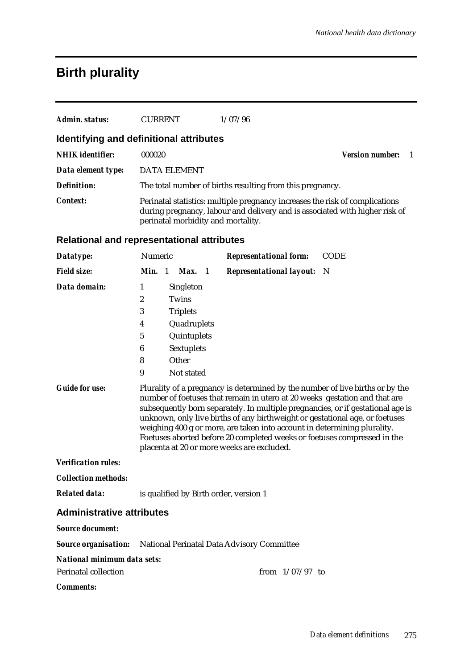## **Birth plurality**

| Admin. status:                          | <b>CURRENT</b>                     | 1/07/96                                                                                                                                                     |                        |  |
|-----------------------------------------|------------------------------------|-------------------------------------------------------------------------------------------------------------------------------------------------------------|------------------------|--|
| Identifying and definitional attributes |                                    |                                                                                                                                                             |                        |  |
| <b>NHIK</b> identifier:                 | 000020                             |                                                                                                                                                             | <b>Version number:</b> |  |
| Data element type:                      | DATA ELEMENT                       |                                                                                                                                                             |                        |  |
| <b>Definition:</b>                      |                                    | The total number of births resulting from this pregnancy.                                                                                                   |                        |  |
| Context:                                | perinatal morbidity and mortality. | Perinatal statistics: multiple pregnancy increases the risk of complications<br>during pregnancy, labour and delivery and is associated with higher risk of |                        |  |

### **Relational and representational attributes**

| Datatype:                                                              | Numeric        |                   | <b>Representational form:</b>                                                                                                                                                                                                                                                                                                                                                                                                                                                                                                        | <b>CODE</b> |
|------------------------------------------------------------------------|----------------|-------------------|--------------------------------------------------------------------------------------------------------------------------------------------------------------------------------------------------------------------------------------------------------------------------------------------------------------------------------------------------------------------------------------------------------------------------------------------------------------------------------------------------------------------------------------|-------------|
| <b>Field size:</b>                                                     | Min. 1         | Max. 1            | <b>Representational layout:</b>                                                                                                                                                                                                                                                                                                                                                                                                                                                                                                      | - N         |
| Data domain:                                                           | 1              | Singleton         |                                                                                                                                                                                                                                                                                                                                                                                                                                                                                                                                      |             |
|                                                                        | $\overline{c}$ | Twins             |                                                                                                                                                                                                                                                                                                                                                                                                                                                                                                                                      |             |
|                                                                        | 3              | <b>Triplets</b>   |                                                                                                                                                                                                                                                                                                                                                                                                                                                                                                                                      |             |
|                                                                        | 4              | Quadruplets       |                                                                                                                                                                                                                                                                                                                                                                                                                                                                                                                                      |             |
|                                                                        | 5              | Quintuplets       |                                                                                                                                                                                                                                                                                                                                                                                                                                                                                                                                      |             |
|                                                                        | 6              | <b>Sextuplets</b> |                                                                                                                                                                                                                                                                                                                                                                                                                                                                                                                                      |             |
|                                                                        | 8              | Other             |                                                                                                                                                                                                                                                                                                                                                                                                                                                                                                                                      |             |
|                                                                        | 9              | Not stated        |                                                                                                                                                                                                                                                                                                                                                                                                                                                                                                                                      |             |
|                                                                        |                |                   | Plurality of a pregnancy is determined by the number of live births or by the<br>number of foetuses that remain in utero at 20 weeks gestation and that are<br>subsequently born separately. In multiple pregnancies, or if gestational age is<br>unknown, only live births of any birthweight or gestational age, or foetuses<br>weighing 400 g or more, are taken into account in determining plurality.<br>Foetuses aborted before 20 completed weeks or foetuses compressed in the<br>placenta at 20 or more weeks are excluded. |             |
| <b>Verification rules:</b>                                             |                |                   |                                                                                                                                                                                                                                                                                                                                                                                                                                                                                                                                      |             |
| <b>Collection methods:</b>                                             |                |                   |                                                                                                                                                                                                                                                                                                                                                                                                                                                                                                                                      |             |
| <b>Related data:</b>                                                   |                |                   | is qualified by Birth order, version 1                                                                                                                                                                                                                                                                                                                                                                                                                                                                                               |             |
| <b>Administrative attributes</b>                                       |                |                   |                                                                                                                                                                                                                                                                                                                                                                                                                                                                                                                                      |             |
| <b>Source document:</b>                                                |                |                   |                                                                                                                                                                                                                                                                                                                                                                                                                                                                                                                                      |             |
| <b>Source organisation:</b> National Perinatal Data Advisory Committee |                |                   |                                                                                                                                                                                                                                                                                                                                                                                                                                                                                                                                      |             |
| <b>National minimum data sets:</b>                                     |                |                   |                                                                                                                                                                                                                                                                                                                                                                                                                                                                                                                                      |             |
| <b>Perinatal collection</b>                                            |                |                   | from $1/07/97$ to                                                                                                                                                                                                                                                                                                                                                                                                                                                                                                                    |             |
| <b>Comments:</b>                                                       |                |                   |                                                                                                                                                                                                                                                                                                                                                                                                                                                                                                                                      |             |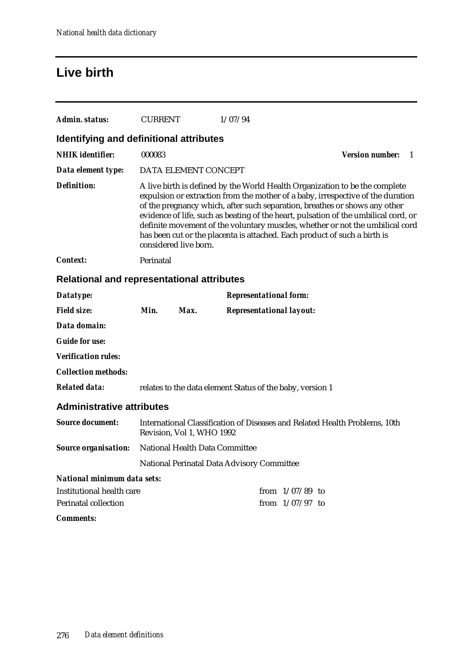## **Live birth**

| Admin. status:                                    | <b>CURRENT</b> |                                | 1/07/94                                                   |                   |                                                                                                                                                                                                                                                                                                                                                                                                                                                                                                   |    |  |  |
|---------------------------------------------------|----------------|--------------------------------|-----------------------------------------------------------|-------------------|---------------------------------------------------------------------------------------------------------------------------------------------------------------------------------------------------------------------------------------------------------------------------------------------------------------------------------------------------------------------------------------------------------------------------------------------------------------------------------------------------|----|--|--|
| Identifying and definitional attributes           |                |                                |                                                           |                   |                                                                                                                                                                                                                                                                                                                                                                                                                                                                                                   |    |  |  |
| <b>NHIK</b> identifier:                           | 000083         |                                |                                                           |                   | <b>Version number:</b>                                                                                                                                                                                                                                                                                                                                                                                                                                                                            | -1 |  |  |
| Data element type:                                |                | DATA ELEMENT CONCEPT           |                                                           |                   |                                                                                                                                                                                                                                                                                                                                                                                                                                                                                                   |    |  |  |
| <b>Definition:</b>                                |                | considered live born.          |                                                           |                   | A live birth is defined by the World Health Organization to be the complete<br>expulsion or extraction from the mother of a baby, irrespective of the duration<br>of the pregnancy which, after such separation, breathes or shows any other<br>evidence of life, such as beating of the heart, pulsation of the umbilical cord, or<br>definite movement of the voluntary muscles, whether or not the umbilical cord<br>has been cut or the placenta is attached. Each product of such a birth is |    |  |  |
| <b>Context:</b>                                   | Perinatal      |                                |                                                           |                   |                                                                                                                                                                                                                                                                                                                                                                                                                                                                                                   |    |  |  |
| <b>Relational and representational attributes</b> |                |                                |                                                           |                   |                                                                                                                                                                                                                                                                                                                                                                                                                                                                                                   |    |  |  |
| Datatype:                                         |                |                                | <b>Representational form:</b>                             |                   |                                                                                                                                                                                                                                                                                                                                                                                                                                                                                                   |    |  |  |
| <b>Field size:</b>                                | Min.           | Max.                           | <b>Representational layout:</b>                           |                   |                                                                                                                                                                                                                                                                                                                                                                                                                                                                                                   |    |  |  |
| Data domain:                                      |                |                                |                                                           |                   |                                                                                                                                                                                                                                                                                                                                                                                                                                                                                                   |    |  |  |
| <b>Guide for use:</b>                             |                |                                |                                                           |                   |                                                                                                                                                                                                                                                                                                                                                                                                                                                                                                   |    |  |  |
| <b>Verification rules:</b>                        |                |                                |                                                           |                   |                                                                                                                                                                                                                                                                                                                                                                                                                                                                                                   |    |  |  |
| <b>Collection methods:</b>                        |                |                                |                                                           |                   |                                                                                                                                                                                                                                                                                                                                                                                                                                                                                                   |    |  |  |
| <b>Related data:</b>                              |                |                                | relates to the data element Status of the baby, version 1 |                   |                                                                                                                                                                                                                                                                                                                                                                                                                                                                                                   |    |  |  |
| <b>Administrative attributes</b>                  |                |                                |                                                           |                   |                                                                                                                                                                                                                                                                                                                                                                                                                                                                                                   |    |  |  |
| <b>Source document:</b>                           |                | Revision, Vol 1, WHO 1992      |                                                           |                   | International Classification of Diseases and Related Health Problems, 10th                                                                                                                                                                                                                                                                                                                                                                                                                        |    |  |  |
| <b>Source organisation:</b>                       |                | National Health Data Committee |                                                           |                   |                                                                                                                                                                                                                                                                                                                                                                                                                                                                                                   |    |  |  |
|                                                   |                |                                | National Perinatal Data Advisory Committee                |                   |                                                                                                                                                                                                                                                                                                                                                                                                                                                                                                   |    |  |  |
| <b>National minimum data sets:</b>                |                |                                |                                                           |                   |                                                                                                                                                                                                                                                                                                                                                                                                                                                                                                   |    |  |  |
| <b>Institutional health care</b>                  |                |                                |                                                           | from $1/07/89$ to |                                                                                                                                                                                                                                                                                                                                                                                                                                                                                                   |    |  |  |
| Perinatal collection                              |                |                                |                                                           | from $1/07/97$ to |                                                                                                                                                                                                                                                                                                                                                                                                                                                                                                   |    |  |  |
| <b>Comments:</b>                                  |                |                                |                                                           |                   |                                                                                                                                                                                                                                                                                                                                                                                                                                                                                                   |    |  |  |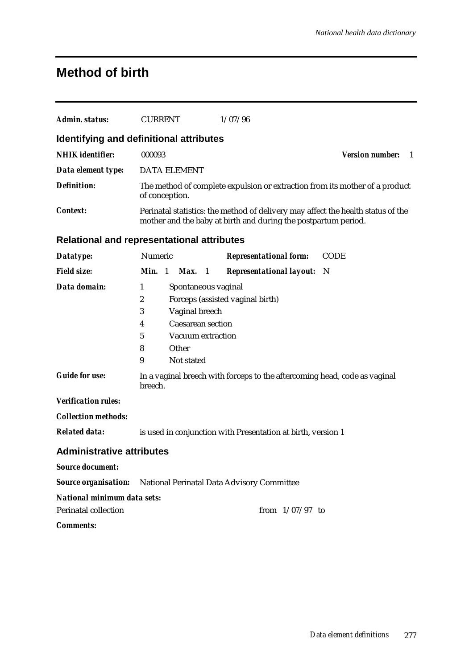### **Method of birth**

| Admin. status:                                                                   | <b>CURRENT</b>                                                                                                                                     | 1/07/96                                                                                                                              |                              |  |  |  |
|----------------------------------------------------------------------------------|----------------------------------------------------------------------------------------------------------------------------------------------------|--------------------------------------------------------------------------------------------------------------------------------------|------------------------------|--|--|--|
| Identifying and definitional attributes                                          |                                                                                                                                                    |                                                                                                                                      |                              |  |  |  |
| <b>NHIK</b> identifier:                                                          | 000093                                                                                                                                             |                                                                                                                                      | <b>Version number:</b><br>-1 |  |  |  |
| Data element type:                                                               | <b>DATA ELEMENT</b>                                                                                                                                |                                                                                                                                      |                              |  |  |  |
| <b>Definition:</b>                                                               | of conception.                                                                                                                                     | The method of complete expulsion or extraction from its mother of a product                                                          |                              |  |  |  |
| Context:                                                                         | Perinatal statistics: the method of delivery may affect the health status of the<br>mother and the baby at birth and during the postpartum period. |                                                                                                                                      |                              |  |  |  |
| <b>Relational and representational attributes</b>                                |                                                                                                                                                    |                                                                                                                                      |                              |  |  |  |
| Datatype:                                                                        | Numeric                                                                                                                                            | <b>Representational form:</b>                                                                                                        | <b>CODE</b>                  |  |  |  |
| <b>Field size:</b>                                                               | Min. 1<br>Max.<br>$\blacksquare$                                                                                                                   | <b>Representational layout:</b>                                                                                                      | - N                          |  |  |  |
| Data domain:<br><b>Guide for use:</b>                                            | 1<br>$\boldsymbol{2}$<br>3<br>Vaginal breech<br><b>Caesarean section</b><br>4<br>$\mathbf 5$<br>Vacuum extraction<br>Other<br>8<br>9<br>Not stated | Spontaneous vaginal<br>Forceps (assisted vaginal birth)<br>In a vaginal breech with forceps to the aftercoming head, code as vaginal |                              |  |  |  |
|                                                                                  | breech.                                                                                                                                            |                                                                                                                                      |                              |  |  |  |
| <b>Verification rules:</b><br><b>Collection methods:</b><br><b>Related data:</b> |                                                                                                                                                    | is used in conjunction with Presentation at birth, version 1                                                                         |                              |  |  |  |
| <b>Administrative attributes</b>                                                 |                                                                                                                                                    |                                                                                                                                      |                              |  |  |  |
| <b>Source document:</b>                                                          |                                                                                                                                                    |                                                                                                                                      |                              |  |  |  |
|                                                                                  |                                                                                                                                                    | Source organisation: National Perinatal Data Advisory Committee                                                                      |                              |  |  |  |
| National minimum data sets:<br>Perinatal collection<br><b>Comments:</b>          |                                                                                                                                                    | from $1/07/97$ to                                                                                                                    |                              |  |  |  |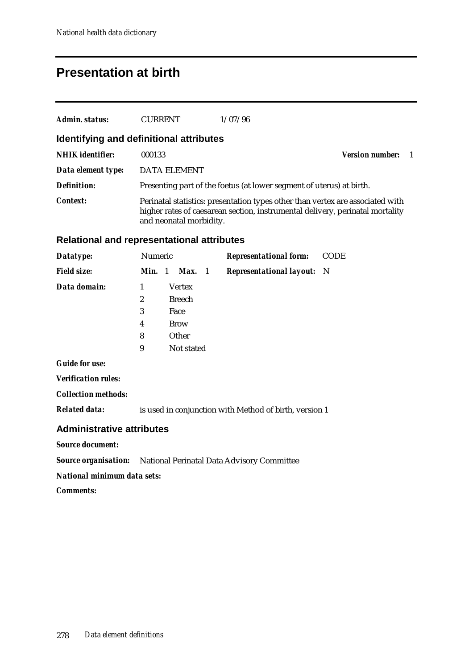## **Presentation at birth**

| Admin. status:          | <b>CURRENT</b>                          | 1/07/96                                                                                                                                                         |                        |  |
|-------------------------|-----------------------------------------|-----------------------------------------------------------------------------------------------------------------------------------------------------------------|------------------------|--|
|                         | Identifying and definitional attributes |                                                                                                                                                                 |                        |  |
| <b>NHIK</b> identifier: | 000133                                  |                                                                                                                                                                 | <b>Version number:</b> |  |
| Data element type:      | <b>DATA ELEMENT</b>                     |                                                                                                                                                                 |                        |  |
| Definition:             |                                         | Presenting part of the foetus (at lower segment of uterus) at birth.                                                                                            |                        |  |
| Context:                | and neonatal morbidity.                 | Perinatal statistics: presentation types other than vertex are associated with<br>higher rates of caesarean section, instrumental delivery, perinatal mortality |                        |  |

#### **Relational and representational attributes**

| Datatype:                                                              | Numeric        |               | <b>Representational form:</b>                          | <b>CODE</b> |
|------------------------------------------------------------------------|----------------|---------------|--------------------------------------------------------|-------------|
| <b>Field size:</b>                                                     | <b>Min.</b> 1  | <b>Max.</b> 1 | <b>Representational layout:</b>                        | N           |
| Data domain:                                                           | 1              | <b>Vertex</b> |                                                        |             |
|                                                                        | $\overline{2}$ | <b>Breech</b> |                                                        |             |
|                                                                        | 3              | Face          |                                                        |             |
|                                                                        | 4              | <b>Brow</b>   |                                                        |             |
|                                                                        | 8              | Other         |                                                        |             |
|                                                                        | 9              | Not stated    |                                                        |             |
| <b>Guide for use:</b>                                                  |                |               |                                                        |             |
| <b>Verification rules:</b>                                             |                |               |                                                        |             |
| <b>Collection methods:</b>                                             |                |               |                                                        |             |
| <b>Related data:</b>                                                   |                |               | is used in conjunction with Method of birth, version 1 |             |
| <b>Administrative attributes</b>                                       |                |               |                                                        |             |
| <b>Source document:</b>                                                |                |               |                                                        |             |
| <b>Source organisation:</b> National Perinatal Data Advisory Committee |                |               |                                                        |             |

*National minimum data sets:*

*Comments:*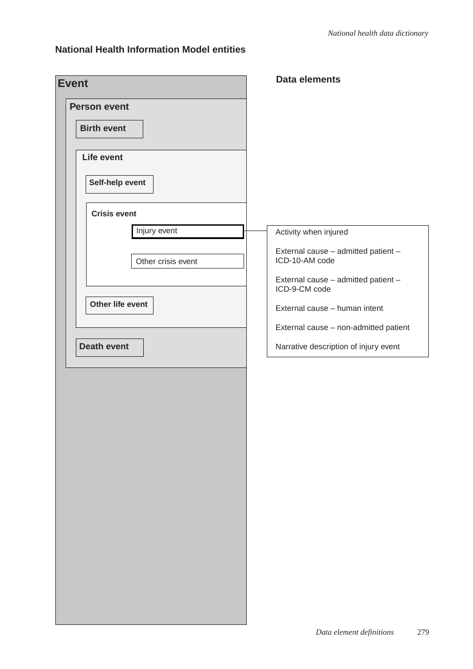### **National Health Information Model entities**

| <b>Event</b>        | <b>Data elements</b>                                  |
|---------------------|-------------------------------------------------------|
| <b>Person event</b> |                                                       |
| <b>Birth event</b>  |                                                       |
| Life event          |                                                       |
| Self-help event     |                                                       |
| <b>Crisis event</b> |                                                       |
| Injury event        | Activity when injured                                 |
| Other crisis event  | External cause - admitted patient -<br>ICD-10-AM code |
|                     | External cause - admitted patient -<br>ICD-9-CM code  |
| Other life event    | External cause - human intent                         |
|                     | External cause - non-admitted patient                 |
| <b>Death event</b>  | Narrative description of injury event                 |
|                     |                                                       |
|                     |                                                       |
|                     |                                                       |
|                     |                                                       |
|                     |                                                       |
|                     |                                                       |
|                     |                                                       |
|                     |                                                       |
|                     |                                                       |
|                     |                                                       |
|                     |                                                       |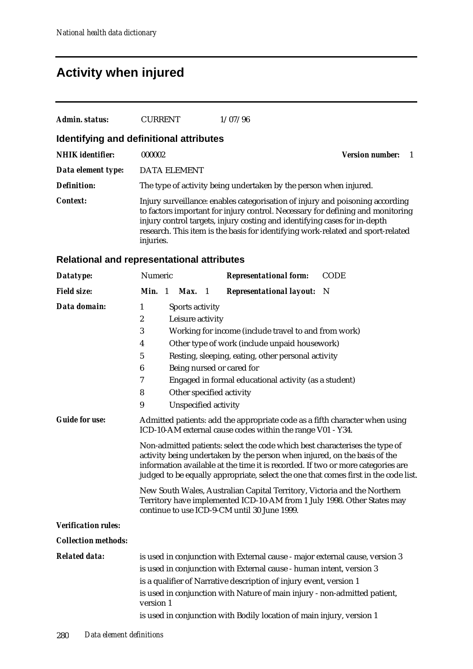# **Activity when injured**

| Admin. status:                          | <b>CURRENT</b>      | 1/07/96                                                                                                                                                                                                                                                                                                                         |                        |  |  |  |  |
|-----------------------------------------|---------------------|---------------------------------------------------------------------------------------------------------------------------------------------------------------------------------------------------------------------------------------------------------------------------------------------------------------------------------|------------------------|--|--|--|--|
| Identifying and definitional attributes |                     |                                                                                                                                                                                                                                                                                                                                 |                        |  |  |  |  |
| <b>NHIK</b> identifier:                 | 000002              |                                                                                                                                                                                                                                                                                                                                 | <b>Version number:</b> |  |  |  |  |
| Data element type:                      | <b>DATA ELEMENT</b> |                                                                                                                                                                                                                                                                                                                                 |                        |  |  |  |  |
| Definition:                             |                     | The type of activity being undertaken by the person when injured.                                                                                                                                                                                                                                                               |                        |  |  |  |  |
| Context:                                | injuries.           | Injury surveillance: enables categorisation of injury and poisoning according<br>to factors important for injury control. Necessary for defining and monitoring<br>injury control targets, injury costing and identifying cases for in-depth<br>research. This item is the basis for identifying work-related and sport-related |                        |  |  |  |  |

### **Relational and representational attributes**

| Datatype:                  | Numeric          |                                                                                                                                                                                                                                                                                                                                    |                      |  | <b>Representational form:</b>                                                                                                                                                                       | <b>CODE</b> |
|----------------------------|------------------|------------------------------------------------------------------------------------------------------------------------------------------------------------------------------------------------------------------------------------------------------------------------------------------------------------------------------------|----------------------|--|-----------------------------------------------------------------------------------------------------------------------------------------------------------------------------------------------------|-------------|
| <b>Field size:</b>         | Min. 1           |                                                                                                                                                                                                                                                                                                                                    | $Max.$ 1             |  | <b>Representational layout:</b>                                                                                                                                                                     | - N         |
| Data domain:               | 1                |                                                                                                                                                                                                                                                                                                                                    | Sports activity      |  |                                                                                                                                                                                                     |             |
|                            | $\boldsymbol{2}$ |                                                                                                                                                                                                                                                                                                                                    | Leisure activity     |  |                                                                                                                                                                                                     |             |
|                            | 3                |                                                                                                                                                                                                                                                                                                                                    |                      |  | Working for income (include travel to and from work)                                                                                                                                                |             |
|                            | 4                |                                                                                                                                                                                                                                                                                                                                    |                      |  | Other type of work (include unpaid housework)                                                                                                                                                       |             |
|                            | $\bf 5$          |                                                                                                                                                                                                                                                                                                                                    |                      |  | Resting, sleeping, eating, other personal activity                                                                                                                                                  |             |
|                            | $\boldsymbol{6}$ |                                                                                                                                                                                                                                                                                                                                    |                      |  | Being nursed or cared for                                                                                                                                                                           |             |
|                            | 7                |                                                                                                                                                                                                                                                                                                                                    |                      |  | Engaged in formal educational activity (as a student)                                                                                                                                               |             |
|                            | 8                |                                                                                                                                                                                                                                                                                                                                    |                      |  | Other specified activity                                                                                                                                                                            |             |
|                            | 9                |                                                                                                                                                                                                                                                                                                                                    | Unspecified activity |  |                                                                                                                                                                                                     |             |
| <b>Guide for use:</b>      |                  |                                                                                                                                                                                                                                                                                                                                    |                      |  | Admitted patients: add the appropriate code as a fifth character when using<br>ICD-10-AM external cause codes within the range V01 - Y34.                                                           |             |
|                            |                  | Non-admitted patients: select the code which best characterises the type of<br>activity being undertaken by the person when injured, on the basis of the<br>information available at the time it is recorded. If two or more categories are<br>judged to be equally appropriate, select the one that comes first in the code list. |                      |  |                                                                                                                                                                                                     |             |
|                            |                  |                                                                                                                                                                                                                                                                                                                                    |                      |  | New South Wales, Australian Capital Territory, Victoria and the Northern<br>Territory have implemented ICD-10-AM from 1 July 1998. Other States may<br>continue to use ICD-9-CM until 30 June 1999. |             |
| <b>Verification rules:</b> |                  |                                                                                                                                                                                                                                                                                                                                    |                      |  |                                                                                                                                                                                                     |             |
| <b>Collection methods:</b> |                  |                                                                                                                                                                                                                                                                                                                                    |                      |  |                                                                                                                                                                                                     |             |
| <b>Related data:</b>       |                  |                                                                                                                                                                                                                                                                                                                                    |                      |  | is used in conjunction with External cause - major external cause, version 3                                                                                                                        |             |
|                            |                  |                                                                                                                                                                                                                                                                                                                                    |                      |  | is used in conjunction with External cause - human intent, version 3                                                                                                                                |             |
|                            |                  |                                                                                                                                                                                                                                                                                                                                    |                      |  | is a qualifier of Narrative description of injury event, version 1                                                                                                                                  |             |
|                            | version 1        |                                                                                                                                                                                                                                                                                                                                    |                      |  | is used in conjunction with Nature of main injury - non-admitted patient,                                                                                                                           |             |
|                            |                  |                                                                                                                                                                                                                                                                                                                                    |                      |  | is used in conjunction with Bodily location of main injury, version 1                                                                                                                               |             |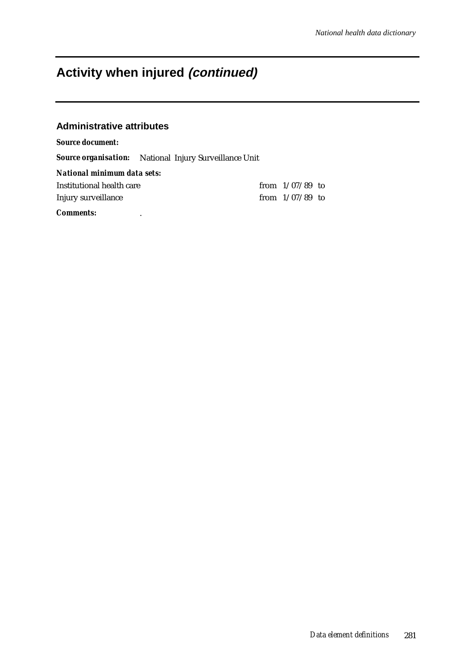## **Activity when injured (continued)**

#### **Administrative attributes**

#### *Source document:*

*Source organisation:* National Injury Surveillance Unit

| National minimum data sets: |                   |  |
|-----------------------------|-------------------|--|
| Institutional health care   | from $1/07/89$ to |  |
| Injury surveillance         | from $1/07/89$ to |  |

*Comments:* .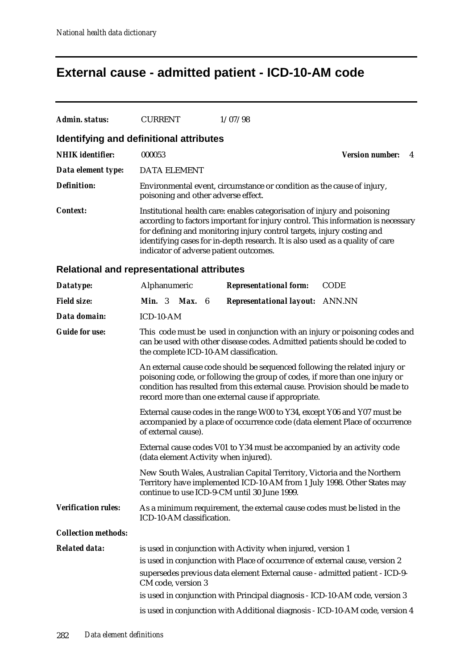# **External cause - admitted patient - ICD-10-AM code**

| <b>Admin. status:</b>      | <b>CURRENT</b><br>1/07/98                                                                                                                                                                                                                                                                                                                                          |  |  |  |  |  |
|----------------------------|--------------------------------------------------------------------------------------------------------------------------------------------------------------------------------------------------------------------------------------------------------------------------------------------------------------------------------------------------------------------|--|--|--|--|--|
|                            | Identifying and definitional attributes                                                                                                                                                                                                                                                                                                                            |  |  |  |  |  |
| <b>NHIK</b> identifier:    | 000053<br><b>Version number:</b><br>4                                                                                                                                                                                                                                                                                                                              |  |  |  |  |  |
| Data element type:         | <b>DATA ELEMENT</b>                                                                                                                                                                                                                                                                                                                                                |  |  |  |  |  |
| <b>Definition:</b>         | Environmental event, circumstance or condition as the cause of injury,<br>poisoning and other adverse effect.                                                                                                                                                                                                                                                      |  |  |  |  |  |
| <i>Context:</i>            | Institutional health care: enables categorisation of injury and poisoning<br>according to factors important for injury control. This information is necessary<br>for defining and monitoring injury control targets, injury costing and<br>identifying cases for in-depth research. It is also used as a quality of care<br>indicator of adverse patient outcomes. |  |  |  |  |  |
|                            | Relational and representational attributes                                                                                                                                                                                                                                                                                                                         |  |  |  |  |  |
| Datatype:                  | Alphanumeric<br><b>Representational form:</b><br><b>CODE</b>                                                                                                                                                                                                                                                                                                       |  |  |  |  |  |
| <b>Field size:</b>         | Min. 3<br><b>Max.</b> $6$<br>Representational layout: ANN.NN                                                                                                                                                                                                                                                                                                       |  |  |  |  |  |
| Data domain:               | ICD-10-AM                                                                                                                                                                                                                                                                                                                                                          |  |  |  |  |  |
| <b>Guide for use:</b>      | This code must be used in conjunction with an injury or poisoning codes and<br>can be used with other disease codes. Admitted patients should be coded to<br>the complete ICD-10-AM classification.                                                                                                                                                                |  |  |  |  |  |
|                            | An external cause code should be sequenced following the related injury or<br>poisoning code, or following the group of codes, if more than one injury or<br>condition has resulted from this external cause. Provision should be made to<br>record more than one external cause if appropriate.                                                                   |  |  |  |  |  |
|                            | External cause codes in the range W00 to Y34, except Y06 and Y07 must be<br>accompanied by a place of occurrence code (data element Place of occurrence<br>of external cause).                                                                                                                                                                                     |  |  |  |  |  |
|                            | External cause codes V01 to Y34 must be accompanied by an activity code<br>(data element Activity when injured).                                                                                                                                                                                                                                                   |  |  |  |  |  |
|                            | New South Wales, Australian Capital Territory, Victoria and the Northern<br>Territory have implemented ICD-10-AM from 1 July 1998. Other States may<br>continue to use ICD-9-CM until 30 June 1999.                                                                                                                                                                |  |  |  |  |  |
| <b>Verification rules:</b> | As a minimum requirement, the external cause codes must be listed in the<br>ICD-10-AM classification.                                                                                                                                                                                                                                                              |  |  |  |  |  |
| <b>Collection methods:</b> |                                                                                                                                                                                                                                                                                                                                                                    |  |  |  |  |  |
| <b>Related data:</b>       | is used in conjunction with Activity when injured, version 1<br>is used in conjunction with Place of occurrence of external cause, version 2<br>supersedes previous data element External cause - admitted patient - ICD-9-                                                                                                                                        |  |  |  |  |  |
|                            | CM code, version 3                                                                                                                                                                                                                                                                                                                                                 |  |  |  |  |  |
|                            | is used in conjunction with Principal diagnosis - ICD-10-AM code, version 3                                                                                                                                                                                                                                                                                        |  |  |  |  |  |
|                            | is used in conjunction with Additional diagnosis - ICD-10-AM code, version 4                                                                                                                                                                                                                                                                                       |  |  |  |  |  |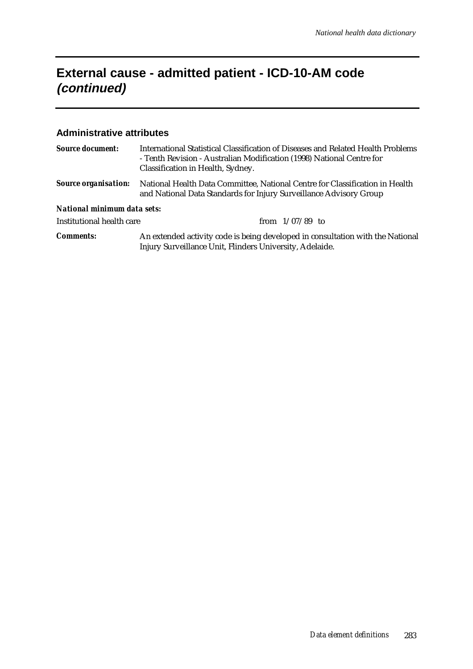## **External cause - admitted patient - ICD-10-AM code (continued)**

#### **Administrative attributes**

| <b>Source document:</b>     | International Statistical Classification of Diseases and Related Health Problems<br>- Tenth Revision - Australian Modification (1998) National Centre for<br>Classification in Health, Sydney. |  |  |  |
|-----------------------------|------------------------------------------------------------------------------------------------------------------------------------------------------------------------------------------------|--|--|--|
| <b>Source organisation:</b> | National Health Data Committee, National Centre for Classification in Health<br>and National Data Standards for Injury Surveillance Advisory Group                                             |  |  |  |
| National minimum data sets: |                                                                                                                                                                                                |  |  |  |
| Institutional health care   | from $1/07/89$ to                                                                                                                                                                              |  |  |  |
| <b>Comments:</b>            | An extended activity code is being developed in consultation with the National<br>Injury Surveillance Unit, Flinders University, Adelaide.                                                     |  |  |  |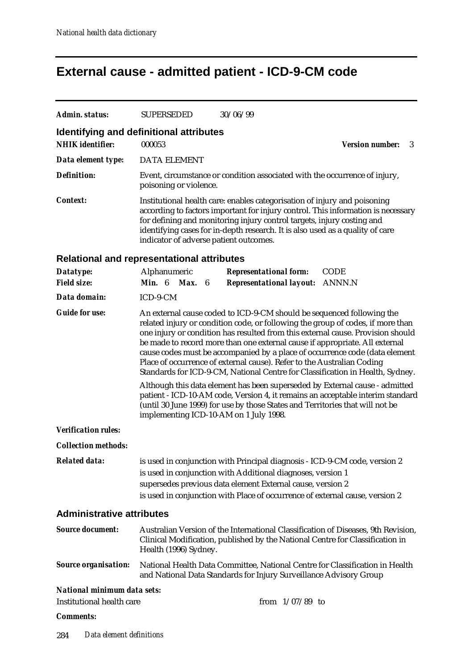# **External cause - admitted patient - ICD-9-CM code**

| Admin. status:                                                     | <b>SUPERSEDED</b>                                                                                                                                                                                                                                                                                                                                                                                                                                                                                                                                                                                                                                                                                                                     | 30/06/99                                                                                                                                                                                                                                                                                                                                                           |                   |                                                                                                                                                                    |  |  |  |
|--------------------------------------------------------------------|---------------------------------------------------------------------------------------------------------------------------------------------------------------------------------------------------------------------------------------------------------------------------------------------------------------------------------------------------------------------------------------------------------------------------------------------------------------------------------------------------------------------------------------------------------------------------------------------------------------------------------------------------------------------------------------------------------------------------------------|--------------------------------------------------------------------------------------------------------------------------------------------------------------------------------------------------------------------------------------------------------------------------------------------------------------------------------------------------------------------|-------------------|--------------------------------------------------------------------------------------------------------------------------------------------------------------------|--|--|--|
| Identifying and definitional attributes<br><b>NHIK</b> identifier: | 000053                                                                                                                                                                                                                                                                                                                                                                                                                                                                                                                                                                                                                                                                                                                                |                                                                                                                                                                                                                                                                                                                                                                    |                   | <b>Version number:</b><br>3                                                                                                                                        |  |  |  |
| Data element type:                                                 | <b>DATA ELEMENT</b>                                                                                                                                                                                                                                                                                                                                                                                                                                                                                                                                                                                                                                                                                                                   |                                                                                                                                                                                                                                                                                                                                                                    |                   |                                                                                                                                                                    |  |  |  |
| <b>Definition:</b>                                                 | poisoning or violence.                                                                                                                                                                                                                                                                                                                                                                                                                                                                                                                                                                                                                                                                                                                |                                                                                                                                                                                                                                                                                                                                                                    |                   | Event, circumstance or condition associated with the occurrence of injury,                                                                                         |  |  |  |
| <i>Context:</i>                                                    |                                                                                                                                                                                                                                                                                                                                                                                                                                                                                                                                                                                                                                                                                                                                       | Institutional health care: enables categorisation of injury and poisoning<br>according to factors important for injury control. This information is necessary<br>for defining and monitoring injury control targets, injury costing and<br>identifying cases for in-depth research. It is also used as a quality of care<br>indicator of adverse patient outcomes. |                   |                                                                                                                                                                    |  |  |  |
| <b>Relational and representational attributes</b>                  |                                                                                                                                                                                                                                                                                                                                                                                                                                                                                                                                                                                                                                                                                                                                       |                                                                                                                                                                                                                                                                                                                                                                    |                   |                                                                                                                                                                    |  |  |  |
| Datatype:                                                          | Alphanumeric                                                                                                                                                                                                                                                                                                                                                                                                                                                                                                                                                                                                                                                                                                                          | <b>Representational form:</b>                                                                                                                                                                                                                                                                                                                                      |                   | <b>CODE</b>                                                                                                                                                        |  |  |  |
| <b>Field size:</b>                                                 | Min. 6 Max. 6                                                                                                                                                                                                                                                                                                                                                                                                                                                                                                                                                                                                                                                                                                                         | <b>Representational layout: ANNN.N</b>                                                                                                                                                                                                                                                                                                                             |                   |                                                                                                                                                                    |  |  |  |
| Data domain:                                                       | ICD-9-CM                                                                                                                                                                                                                                                                                                                                                                                                                                                                                                                                                                                                                                                                                                                              |                                                                                                                                                                                                                                                                                                                                                                    |                   |                                                                                                                                                                    |  |  |  |
| <b>Guide for use:</b>                                              | An external cause coded to ICD-9-CM should be sequenced following the<br>related injury or condition code, or following the group of codes, if more than<br>one injury or condition has resulted from this external cause. Provision should<br>be made to record more than one external cause if appropriate. All external<br>cause codes must be accompanied by a place of occurrence code (data element<br>Place of occurrence of external cause). Refer to the Australian Coding<br>Standards for ICD-9-CM, National Centre for Classification in Health, Sydney.<br>Although this data element has been superseded by External cause - admitted<br>patient - ICD-10-AM code, Version 4, it remains an acceptable interim standard |                                                                                                                                                                                                                                                                                                                                                                    |                   |                                                                                                                                                                    |  |  |  |
| <b>Verification rules:</b>                                         |                                                                                                                                                                                                                                                                                                                                                                                                                                                                                                                                                                                                                                                                                                                                       | implementing ICD-10-AM on 1 July 1998.                                                                                                                                                                                                                                                                                                                             |                   | (until 30 June 1999) for use by those States and Territories that will not be                                                                                      |  |  |  |
| <b>Collection methods:</b>                                         |                                                                                                                                                                                                                                                                                                                                                                                                                                                                                                                                                                                                                                                                                                                                       |                                                                                                                                                                                                                                                                                                                                                                    |                   |                                                                                                                                                                    |  |  |  |
| <b>Related data:</b>                                               |                                                                                                                                                                                                                                                                                                                                                                                                                                                                                                                                                                                                                                                                                                                                       | is used in conjunction with Additional diagnoses, version 1<br>supersedes previous data element External cause, version 2                                                                                                                                                                                                                                          |                   | is used in conjunction with Principal diagnosis - ICD-9-CM code, version 2<br>is used in conjunction with Place of occurrence of external cause, version 2         |  |  |  |
| <b>Administrative attributes</b>                                   |                                                                                                                                                                                                                                                                                                                                                                                                                                                                                                                                                                                                                                                                                                                                       |                                                                                                                                                                                                                                                                                                                                                                    |                   |                                                                                                                                                                    |  |  |  |
| <b>Source document:</b>                                            | Health (1996) Sydney.                                                                                                                                                                                                                                                                                                                                                                                                                                                                                                                                                                                                                                                                                                                 |                                                                                                                                                                                                                                                                                                                                                                    |                   | Australian Version of the International Classification of Diseases, 9th Revision,<br>Clinical Modification, published by the National Centre for Classification in |  |  |  |
| <b>Source organisation:</b>                                        |                                                                                                                                                                                                                                                                                                                                                                                                                                                                                                                                                                                                                                                                                                                                       | and National Data Standards for Injury Surveillance Advisory Group                                                                                                                                                                                                                                                                                                 |                   | National Health Data Committee, National Centre for Classification in Health                                                                                       |  |  |  |
| <b>National minimum data sets:</b>                                 |                                                                                                                                                                                                                                                                                                                                                                                                                                                                                                                                                                                                                                                                                                                                       |                                                                                                                                                                                                                                                                                                                                                                    |                   |                                                                                                                                                                    |  |  |  |
| <b>Institutional health care</b>                                   |                                                                                                                                                                                                                                                                                                                                                                                                                                                                                                                                                                                                                                                                                                                                       |                                                                                                                                                                                                                                                                                                                                                                    | from $1/07/89$ to |                                                                                                                                                                    |  |  |  |
| <b>Comments:</b>                                                   |                                                                                                                                                                                                                                                                                                                                                                                                                                                                                                                                                                                                                                                                                                                                       |                                                                                                                                                                                                                                                                                                                                                                    |                   |                                                                                                                                                                    |  |  |  |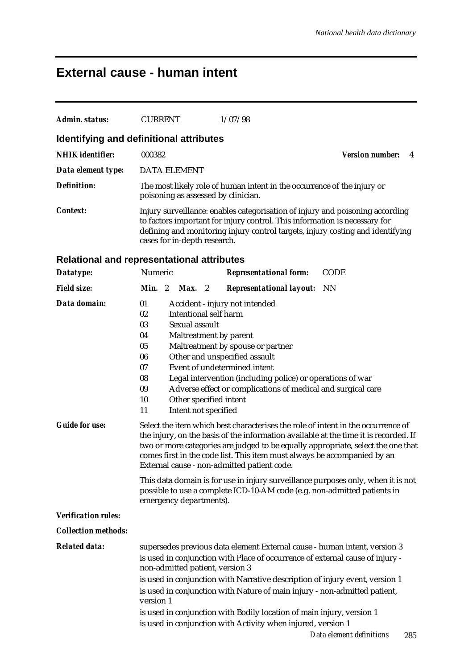## **External cause - human intent**

| <b>Admin. status:</b>                 | <b>CURRENT</b><br>1/07/98                                                                                                                                                                                                                                                                                                                                                                                                                                                                                                                                                                                                                                                                                                                                                                                                                                                                                                                                                                                                                                |
|---------------------------------------|----------------------------------------------------------------------------------------------------------------------------------------------------------------------------------------------------------------------------------------------------------------------------------------------------------------------------------------------------------------------------------------------------------------------------------------------------------------------------------------------------------------------------------------------------------------------------------------------------------------------------------------------------------------------------------------------------------------------------------------------------------------------------------------------------------------------------------------------------------------------------------------------------------------------------------------------------------------------------------------------------------------------------------------------------------|
|                                       | Identifying and definitional attributes                                                                                                                                                                                                                                                                                                                                                                                                                                                                                                                                                                                                                                                                                                                                                                                                                                                                                                                                                                                                                  |
| <b>NHIK</b> identifier:               | 000382<br><b>Version number:</b><br>4                                                                                                                                                                                                                                                                                                                                                                                                                                                                                                                                                                                                                                                                                                                                                                                                                                                                                                                                                                                                                    |
| Data element type:                    | <b>DATA ELEMENT</b>                                                                                                                                                                                                                                                                                                                                                                                                                                                                                                                                                                                                                                                                                                                                                                                                                                                                                                                                                                                                                                      |
| <b>Definition:</b>                    | The most likely role of human intent in the occurrence of the injury or<br>poisoning as assessed by clinician.                                                                                                                                                                                                                                                                                                                                                                                                                                                                                                                                                                                                                                                                                                                                                                                                                                                                                                                                           |
| <b>Context:</b>                       | Injury surveillance: enables categorisation of injury and poisoning according<br>to factors important for injury control. This information is necessary for<br>defining and monitoring injury control targets, injury costing and identifying<br>cases for in-depth research.                                                                                                                                                                                                                                                                                                                                                                                                                                                                                                                                                                                                                                                                                                                                                                            |
|                                       | <b>Relational and representational attributes</b>                                                                                                                                                                                                                                                                                                                                                                                                                                                                                                                                                                                                                                                                                                                                                                                                                                                                                                                                                                                                        |
| Datatype:                             | Numeric<br><b>CODE</b><br><b>Representational form:</b>                                                                                                                                                                                                                                                                                                                                                                                                                                                                                                                                                                                                                                                                                                                                                                                                                                                                                                                                                                                                  |
| <b>Field size:</b>                    | Min. 2<br><b>NN</b><br>Max. 2<br><b>Representational layout:</b>                                                                                                                                                                                                                                                                                                                                                                                                                                                                                                                                                                                                                                                                                                                                                                                                                                                                                                                                                                                         |
| Data domain:<br><b>Guide for use:</b> | 01<br>Accident - injury not intended<br><b>Intentional self harm</b><br>02<br>Sexual assault<br>03<br>Maltreatment by parent<br>04<br>05<br>Maltreatment by spouse or partner<br>Other and unspecified assault<br>06<br>Event of undetermined intent<br>07<br>08<br>Legal intervention (including police) or operations of war<br>Adverse effect or complications of medical and surgical care<br>09<br>10<br>Other specified intent<br>11<br>Intent not specified<br>Select the item which best characterises the role of intent in the occurrence of<br>the injury, on the basis of the information available at the time it is recorded. If<br>two or more categories are judged to be equally appropriate, select the one that<br>comes first in the code list. This item must always be accompanied by an<br>External cause - non-admitted patient code.<br>This data domain is for use in injury surveillance purposes only, when it is not<br>possible to use a complete ICD-10-AM code (e.g. non-admitted patients in<br>emergency departments). |
| <b>Verification rules:</b>            |                                                                                                                                                                                                                                                                                                                                                                                                                                                                                                                                                                                                                                                                                                                                                                                                                                                                                                                                                                                                                                                          |
| <b>Collection methods:</b>            |                                                                                                                                                                                                                                                                                                                                                                                                                                                                                                                                                                                                                                                                                                                                                                                                                                                                                                                                                                                                                                                          |
| <b>Related data:</b>                  | supersedes previous data element External cause - human intent, version 3<br>is used in conjunction with Place of occurrence of external cause of injury -<br>non-admitted patient, version 3<br>is used in conjunction with Narrative description of injury event, version 1<br>is used in conjunction with Nature of main injury - non-admitted patient,<br>version 1<br>is used in conjunction with Bodily location of main injury, version 1<br>is used in conjunction with Activity when injured, version 1<br>Data element definitions<br>285                                                                                                                                                                                                                                                                                                                                                                                                                                                                                                      |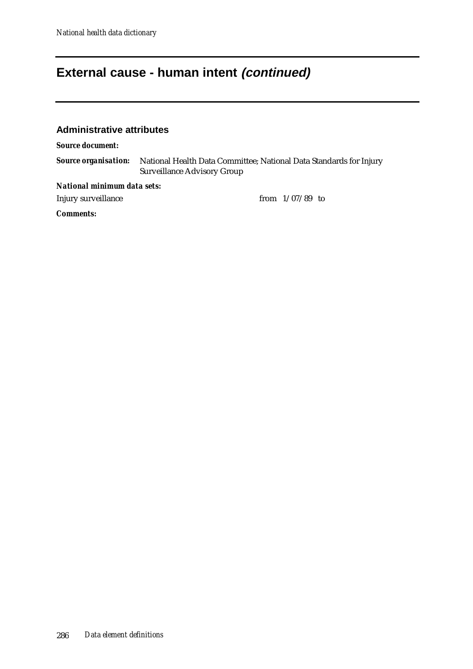### **External cause - human intent (continued)**

#### **Administrative attributes**

*Source document:*

*Source organisation:* National Health Data Committee; National Data Standards for Injury Surveillance Advisory Group

*National minimum data sets:*

Injury surveillance from 1/07/89 to

*Comments:*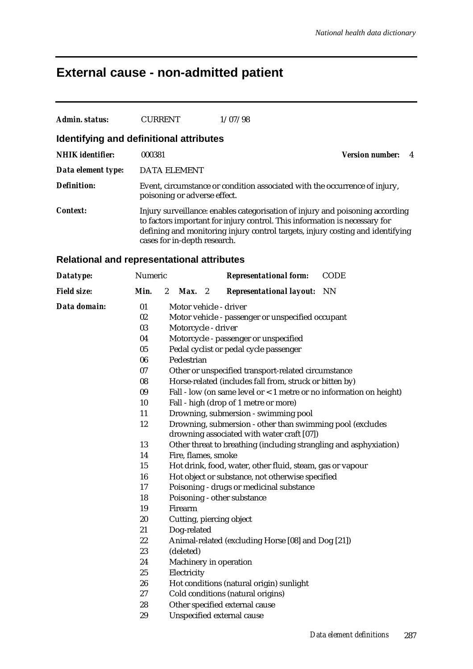## **External cause - non-admitted patient**

| Admin. status:          | <b>CURRENT</b>                          | 1/07/98                                                                                                                                                                                                                                       |                             |
|-------------------------|-----------------------------------------|-----------------------------------------------------------------------------------------------------------------------------------------------------------------------------------------------------------------------------------------------|-----------------------------|
|                         | Identifying and definitional attributes |                                                                                                                                                                                                                                               |                             |
| <b>NHIK</b> identifier: | 000381                                  |                                                                                                                                                                                                                                               | <b>Version number:</b><br>4 |
| Data element type:      | DATA ELEMENT                            |                                                                                                                                                                                                                                               |                             |
| <b>Definition:</b>      | poisoning or adverse effect.            | Event, circumstance or condition associated with the occurrence of injury,                                                                                                                                                                    |                             |
| <b>Context:</b>         | cases for in-depth research.            | Injury surveillance: enables categorisation of injury and poisoning according<br>to factors important for injury control. This information is necessary for<br>defining and monitoring injury control targets, injury costing and identifying |                             |

### **Relational and representational attributes**

| Datatype:          | Numeric |                                                                                                         |                     |  | <b>Representational form:</b>                                       | <b>CODE</b> |
|--------------------|---------|---------------------------------------------------------------------------------------------------------|---------------------|--|---------------------------------------------------------------------|-------------|
| <b>Field size:</b> | Min.    | $\boldsymbol{2}$                                                                                        | $Max.$ 2            |  | <b>Representational layout:</b>                                     | <b>NN</b>   |
| Data domain:       | 01      |                                                                                                         |                     |  | Motor vehicle - driver                                              |             |
|                    | 02      |                                                                                                         |                     |  | Motor vehicle - passenger or unspecified occupant                   |             |
|                    | 03      |                                                                                                         | Motorcycle - driver |  |                                                                     |             |
|                    | 04      |                                                                                                         |                     |  | Motorcycle - passenger or unspecified                               |             |
|                    | 05      |                                                                                                         |                     |  | Pedal cyclist or pedal cycle passenger                              |             |
|                    | 06      |                                                                                                         | Pedestrian          |  |                                                                     |             |
|                    | 07      |                                                                                                         |                     |  | Other or unspecified transport-related circumstance                 |             |
|                    | 08      |                                                                                                         |                     |  | Horse-related (includes fall from, struck or bitten by)             |             |
|                    | 09      |                                                                                                         |                     |  | Fall - low (on same level or < 1 metre or no information on height) |             |
|                    | 10      |                                                                                                         |                     |  | Fall - high (drop of 1 metre or more)                               |             |
|                    | 11      |                                                                                                         |                     |  | Drowning, submersion - swimming pool                                |             |
|                    | 12      | Drowning, submersion - other than swimming pool (excludes<br>drowning associated with water craft [07]) |                     |  |                                                                     |             |
|                    | 13      |                                                                                                         |                     |  | Other threat to breathing (including strangling and asphyxiation)   |             |
|                    | 14      |                                                                                                         | Fire, flames, smoke |  |                                                                     |             |
|                    | 15      |                                                                                                         |                     |  | Hot drink, food, water, other fluid, steam, gas or vapour           |             |
|                    | 16      |                                                                                                         |                     |  | Hot object or substance, not otherwise specified                    |             |
|                    | 17      |                                                                                                         |                     |  | Poisoning - drugs or medicinal substance                            |             |
|                    | 18      |                                                                                                         |                     |  | Poisoning - other substance                                         |             |
|                    | 19      |                                                                                                         | Firearm             |  |                                                                     |             |
|                    | 20      |                                                                                                         |                     |  | Cutting, piercing object                                            |             |
|                    | 21      |                                                                                                         | Dog-related         |  |                                                                     |             |
|                    | 22      |                                                                                                         |                     |  | Animal-related (excluding Horse [08] and Dog [21])                  |             |
|                    | 23      |                                                                                                         | (deleted)           |  |                                                                     |             |
|                    | 24      |                                                                                                         |                     |  | Machinery in operation                                              |             |
|                    | 25      |                                                                                                         | Electricity         |  |                                                                     |             |
|                    | 26      |                                                                                                         |                     |  | Hot conditions (natural origin) sunlight                            |             |
|                    | 27      |                                                                                                         |                     |  | Cold conditions (natural origins)                                   |             |
|                    | 28      |                                                                                                         |                     |  | Other specified external cause                                      |             |
|                    | 29      |                                                                                                         |                     |  | Unspecified external cause                                          |             |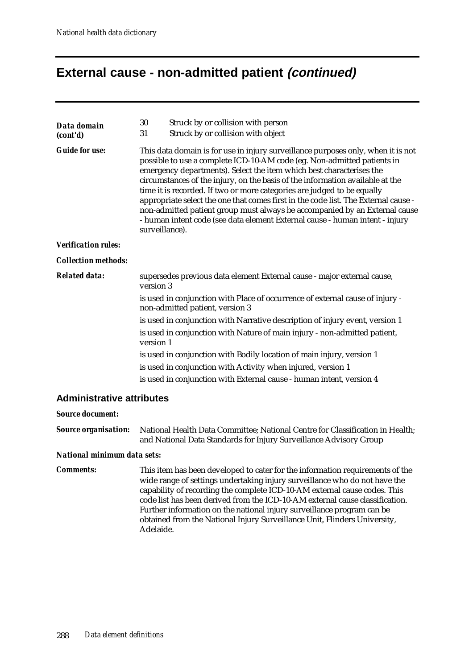### **External cause - non-admitted patient (continued)**

| Struck by or collision with person<br>30<br>Data domain<br>Struck by or collision with object<br>31<br>(cont'd)                                                                                                                                                                                                                                                                                                                                                                                                                                                                                                                                                                                |                                                                           |  |  |  |  |  |  |
|------------------------------------------------------------------------------------------------------------------------------------------------------------------------------------------------------------------------------------------------------------------------------------------------------------------------------------------------------------------------------------------------------------------------------------------------------------------------------------------------------------------------------------------------------------------------------------------------------------------------------------------------------------------------------------------------|---------------------------------------------------------------------------|--|--|--|--|--|--|
| <b>Guide for use:</b><br>This data domain is for use in injury surveillance purposes only, when it is not<br>possible to use a complete ICD-10-AM code (eg. Non-admitted patients in<br>emergency departments). Select the item which best characterises the<br>circumstances of the injury, on the basis of the information available at the<br>time it is recorded. If two or more categories are judged to be equally<br>appropriate select the one that comes first in the code list. The External cause -<br>non-admitted patient group must always be accompanied by an External cause<br>- human intent code (see data element External cause - human intent - injury<br>surveillance). |                                                                           |  |  |  |  |  |  |
| <b>Verification rules:</b>                                                                                                                                                                                                                                                                                                                                                                                                                                                                                                                                                                                                                                                                     |                                                                           |  |  |  |  |  |  |
| <b>Collection methods:</b>                                                                                                                                                                                                                                                                                                                                                                                                                                                                                                                                                                                                                                                                     |                                                                           |  |  |  |  |  |  |
| <b>Related data:</b><br>supersedes previous data element External cause - major external cause,<br>version 3                                                                                                                                                                                                                                                                                                                                                                                                                                                                                                                                                                                   |                                                                           |  |  |  |  |  |  |
| is used in conjunction with Place of occurrence of external cause of injury -<br>non-admitted patient, version 3                                                                                                                                                                                                                                                                                                                                                                                                                                                                                                                                                                               |                                                                           |  |  |  |  |  |  |
| is used in conjunction with Narrative description of injury event, version 1                                                                                                                                                                                                                                                                                                                                                                                                                                                                                                                                                                                                                   |                                                                           |  |  |  |  |  |  |
| version 1                                                                                                                                                                                                                                                                                                                                                                                                                                                                                                                                                                                                                                                                                      | is used in conjunction with Nature of main injury - non-admitted patient, |  |  |  |  |  |  |
| is used in conjunction with Bodily location of main injury, version 1                                                                                                                                                                                                                                                                                                                                                                                                                                                                                                                                                                                                                          |                                                                           |  |  |  |  |  |  |
| is used in conjunction with Activity when injured, version 1                                                                                                                                                                                                                                                                                                                                                                                                                                                                                                                                                                                                                                   |                                                                           |  |  |  |  |  |  |
| is used in conjunction with External cause - human intent, version 4                                                                                                                                                                                                                                                                                                                                                                                                                                                                                                                                                                                                                           |                                                                           |  |  |  |  |  |  |

#### **Administrative attributes**

#### *Source document:*

*Source organisation:* National Health Data Committee; National Centre for Classification in Health; and National Data Standards for Injury Surveillance Advisory Group

#### *National minimum data sets:*

**Comments:** This item has been developed to cater for the information requirements of the wide range of settings undertaking injury surveillance who do not have the capability of recording the complete ICD-10-AM external cause codes. This code list has been derived from the ICD-10-AM external cause classification. Further information on the national injury surveillance program can be obtained from the National Injury Surveillance Unit, Flinders University, Adelaide.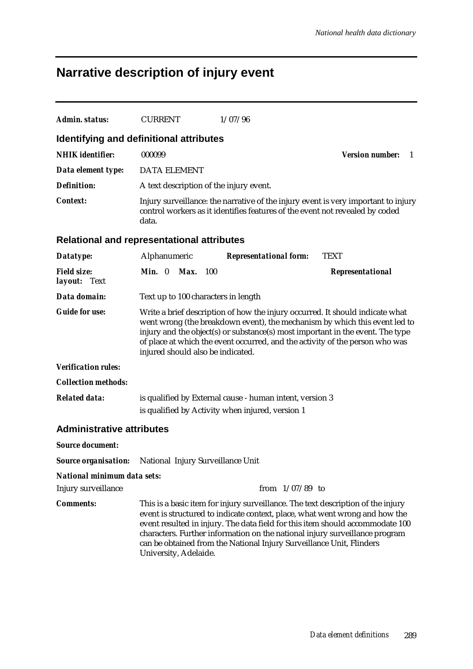# **Narrative description of injury event**

| Admin. status:                                                | <b>CURRENT</b>                          |                                                                                                                                                                                                                                                                                                                                                                    | 1/07/96                                                                                                                                                                                                                                                                                                                                                                                                 |                                                                                    |  |  |  |
|---------------------------------------------------------------|-----------------------------------------|--------------------------------------------------------------------------------------------------------------------------------------------------------------------------------------------------------------------------------------------------------------------------------------------------------------------------------------------------------------------|---------------------------------------------------------------------------------------------------------------------------------------------------------------------------------------------------------------------------------------------------------------------------------------------------------------------------------------------------------------------------------------------------------|------------------------------------------------------------------------------------|--|--|--|
| Identifying and definitional attributes                       |                                         |                                                                                                                                                                                                                                                                                                                                                                    |                                                                                                                                                                                                                                                                                                                                                                                                         |                                                                                    |  |  |  |
| <b>NHIK</b> identifier:                                       | 000099                                  |                                                                                                                                                                                                                                                                                                                                                                    |                                                                                                                                                                                                                                                                                                                                                                                                         | <b>Version number:</b><br>1                                                        |  |  |  |
| Data element type:                                            | <b>DATA ELEMENT</b>                     |                                                                                                                                                                                                                                                                                                                                                                    |                                                                                                                                                                                                                                                                                                                                                                                                         |                                                                                    |  |  |  |
| <b>Definition:</b>                                            | A text description of the injury event. |                                                                                                                                                                                                                                                                                                                                                                    |                                                                                                                                                                                                                                                                                                                                                                                                         |                                                                                    |  |  |  |
| <b>Context:</b>                                               | data.                                   |                                                                                                                                                                                                                                                                                                                                                                    | control workers as it identifies features of the event not revealed by coded                                                                                                                                                                                                                                                                                                                            | Injury surveillance: the narrative of the injury event is very important to injury |  |  |  |
| <b>Relational and representational attributes</b>             |                                         |                                                                                                                                                                                                                                                                                                                                                                    |                                                                                                                                                                                                                                                                                                                                                                                                         |                                                                                    |  |  |  |
| Datatype:                                                     | Alphanumeric                            |                                                                                                                                                                                                                                                                                                                                                                    | <b>Representational form:</b>                                                                                                                                                                                                                                                                                                                                                                           | <b>TEXT</b>                                                                        |  |  |  |
| <b>Field size:</b><br>layout: Text                            | Max.<br>Min. 0                          | - 100                                                                                                                                                                                                                                                                                                                                                              |                                                                                                                                                                                                                                                                                                                                                                                                         | Representational                                                                   |  |  |  |
| Data domain:                                                  | Text up to 100 characters in length     |                                                                                                                                                                                                                                                                                                                                                                    |                                                                                                                                                                                                                                                                                                                                                                                                         |                                                                                    |  |  |  |
| <b>Guide for use:</b>                                         |                                         | Write a brief description of how the injury occurred. It should indicate what<br>went wrong (the breakdown event), the mechanism by which this event led to<br>injury and the object(s) or substance(s) most important in the event. The type<br>of place at which the event occurred, and the activity of the person who was<br>injured should also be indicated. |                                                                                                                                                                                                                                                                                                                                                                                                         |                                                                                    |  |  |  |
| <b>Verification rules:</b>                                    |                                         |                                                                                                                                                                                                                                                                                                                                                                    |                                                                                                                                                                                                                                                                                                                                                                                                         |                                                                                    |  |  |  |
| <b>Collection methods:</b>                                    |                                         |                                                                                                                                                                                                                                                                                                                                                                    |                                                                                                                                                                                                                                                                                                                                                                                                         |                                                                                    |  |  |  |
| <b>Related data:</b>                                          |                                         |                                                                                                                                                                                                                                                                                                                                                                    | is qualified by External cause - human intent, version 3<br>is qualified by Activity when injured, version 1                                                                                                                                                                                                                                                                                            |                                                                                    |  |  |  |
| <b>Administrative attributes</b>                              |                                         |                                                                                                                                                                                                                                                                                                                                                                    |                                                                                                                                                                                                                                                                                                                                                                                                         |                                                                                    |  |  |  |
| <b>Source document:</b>                                       |                                         |                                                                                                                                                                                                                                                                                                                                                                    |                                                                                                                                                                                                                                                                                                                                                                                                         |                                                                                    |  |  |  |
| <b>Source organisation:</b> National Injury Surveillance Unit |                                         |                                                                                                                                                                                                                                                                                                                                                                    |                                                                                                                                                                                                                                                                                                                                                                                                         |                                                                                    |  |  |  |
| National minimum data sets:                                   |                                         |                                                                                                                                                                                                                                                                                                                                                                    |                                                                                                                                                                                                                                                                                                                                                                                                         |                                                                                    |  |  |  |
| Injury surveillance                                           |                                         |                                                                                                                                                                                                                                                                                                                                                                    | from $1/07/89$ to                                                                                                                                                                                                                                                                                                                                                                                       |                                                                                    |  |  |  |
| <b>Comments:</b>                                              | University, Adelaide.                   |                                                                                                                                                                                                                                                                                                                                                                    | This is a basic item for injury surveillance. The text description of the injury<br>event is structured to indicate context, place, what went wrong and how the<br>event resulted in injury. The data field for this item should accommodate 100<br>characters. Further information on the national injury surveillance program<br>can be obtained from the National Injury Surveillance Unit, Flinders |                                                                                    |  |  |  |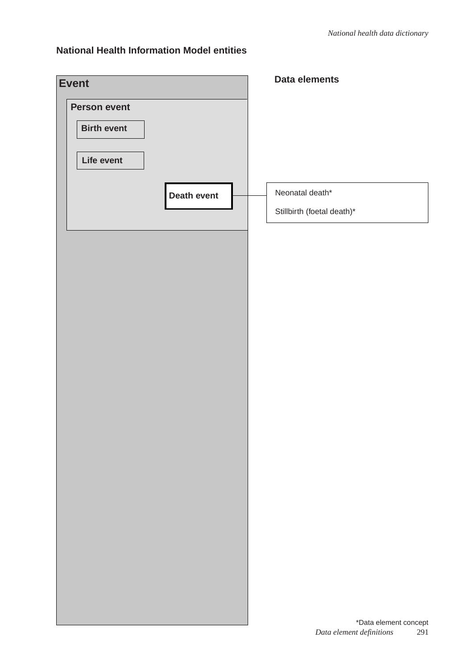### **National Health Information Model entities**

| <b>Event</b>        |                    | Data elements                                            |
|---------------------|--------------------|----------------------------------------------------------|
| <b>Person event</b> |                    |                                                          |
| <b>Birth event</b>  |                    |                                                          |
|                     |                    |                                                          |
| Life event          |                    |                                                          |
|                     | <b>Death event</b> | Neonatal death*                                          |
|                     |                    | Stillbirth (foetal death)*                               |
|                     |                    |                                                          |
|                     |                    |                                                          |
|                     |                    |                                                          |
|                     |                    |                                                          |
|                     |                    |                                                          |
|                     |                    |                                                          |
|                     |                    |                                                          |
|                     |                    |                                                          |
|                     |                    |                                                          |
|                     |                    |                                                          |
|                     |                    |                                                          |
|                     |                    |                                                          |
|                     |                    |                                                          |
|                     |                    |                                                          |
|                     |                    |                                                          |
|                     |                    |                                                          |
|                     |                    |                                                          |
|                     |                    |                                                          |
|                     |                    |                                                          |
|                     |                    |                                                          |
|                     |                    | *Data element concept<br>Data element definitions<br>291 |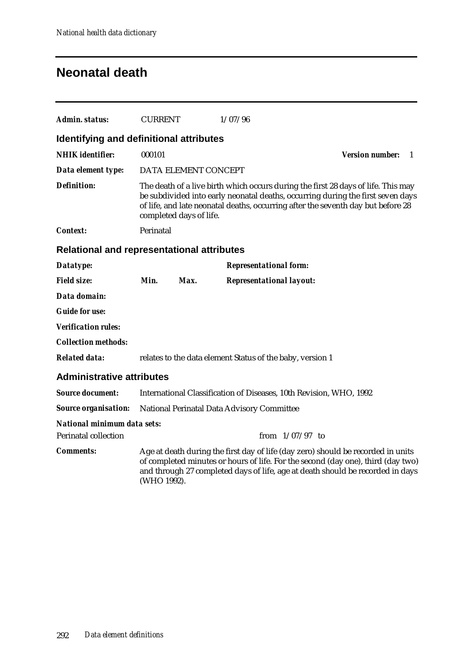### **Neonatal death**

| Admin. status:                                    | <b>CURRENT</b> |                         | 1/07/96                                                                                                                                                                                                                                                  |                              |
|---------------------------------------------------|----------------|-------------------------|----------------------------------------------------------------------------------------------------------------------------------------------------------------------------------------------------------------------------------------------------------|------------------------------|
| Identifying and definitional attributes           |                |                         |                                                                                                                                                                                                                                                          |                              |
| <b>NHIK</b> identifier:                           | 000101         |                         |                                                                                                                                                                                                                                                          | <b>Version number:</b><br>-1 |
| Data element type:                                |                | DATA ELEMENT CONCEPT    |                                                                                                                                                                                                                                                          |                              |
| <b>Definition:</b>                                |                | completed days of life. | The death of a live birth which occurs during the first 28 days of life. This may<br>be subdivided into early neonatal deaths, occurring during the first seven days<br>of life, and late neonatal deaths, occurring after the seventh day but before 28 |                              |
| <b>Context:</b>                                   | Perinatal      |                         |                                                                                                                                                                                                                                                          |                              |
| <b>Relational and representational attributes</b> |                |                         |                                                                                                                                                                                                                                                          |                              |
| Datatype:                                         |                |                         | <b>Representational form:</b>                                                                                                                                                                                                                            |                              |
| <b>Field size:</b>                                | Min.           | Max.                    | <b>Representational layout:</b>                                                                                                                                                                                                                          |                              |
| Data domain:                                      |                |                         |                                                                                                                                                                                                                                                          |                              |
| <b>Guide for use:</b>                             |                |                         |                                                                                                                                                                                                                                                          |                              |
| <b>Verification rules:</b>                        |                |                         |                                                                                                                                                                                                                                                          |                              |
| <b>Collection methods:</b>                        |                |                         |                                                                                                                                                                                                                                                          |                              |
| <b>Related data:</b>                              |                |                         | relates to the data element Status of the baby, version 1                                                                                                                                                                                                |                              |
| <b>Administrative attributes</b>                  |                |                         |                                                                                                                                                                                                                                                          |                              |
| <b>Source document:</b>                           |                |                         | International Classification of Diseases, 10th Revision, WHO, 1992                                                                                                                                                                                       |                              |
| <b>Source organisation:</b>                       |                |                         | National Perinatal Data Advisory Committee                                                                                                                                                                                                               |                              |
| <b>National minimum data sets:</b>                |                |                         |                                                                                                                                                                                                                                                          |                              |
| <b>Perinatal collection</b>                       |                |                         | from $1/07/97$ to                                                                                                                                                                                                                                        |                              |
| <b>Comments:</b>                                  | (WHO 1992).    |                         | Age at death during the first day of life (day zero) should be recorded in units<br>of completed minutes or hours of life. For the second (day one), third (day two)<br>and through 27 completed days of life, age at death should be recorded in days   |                              |